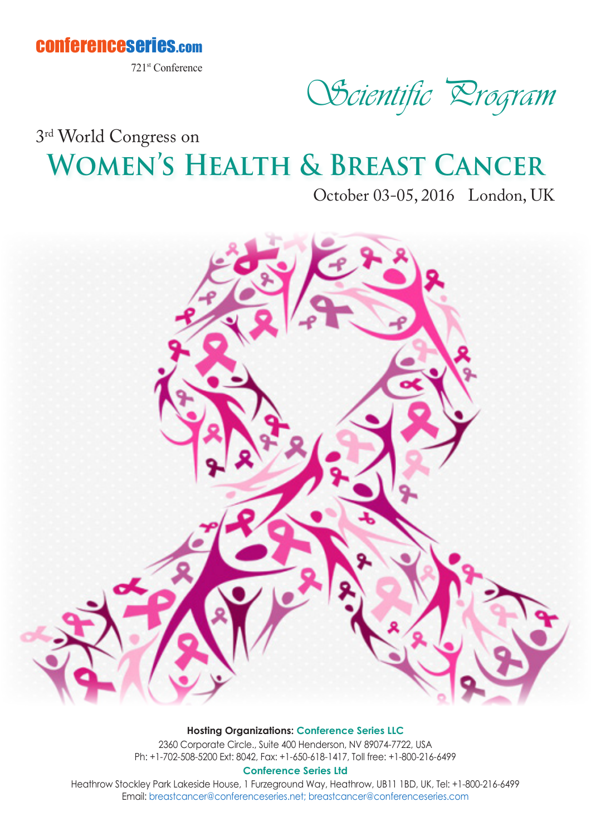

721st Conference

Scientific Program

## **Women's Health & Breast Cancer** 3rd World Congress on

October 03-05, 2016 London, UK



#### **Hosting Organizations: Conference Series LLC**

2360 Corporate Circle., Suite 400 Henderson, NV 89074-7722, USA Ph: +1-702-508-5200 Ext: 8042, Fax: +1-650-618-1417, Toll free: +1-800-216-6499

**Conference Series Ltd**

Heathrow Stockley Park Lakeside House, 1 Furzeground Way, Heathrow, UB11 1BD, UK, Tel: +1-800-216-6499 Email: breastcancer@conferenceseries.net; breastcancer@conferenceseries.com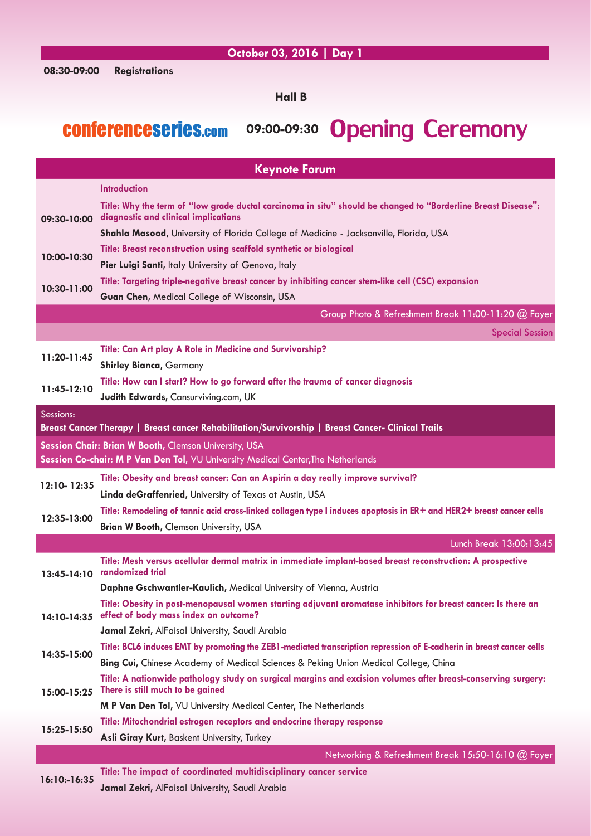### **October 03, 2016 | Day 1**

**Hall B**

### conferenceseries.com **09:00-09:30** Opening Ceremony

| <b>Keynote Forum</b>                                                             |                                                                                                                                                       |  |
|----------------------------------------------------------------------------------|-------------------------------------------------------------------------------------------------------------------------------------------------------|--|
|                                                                                  | <b>Introduction</b>                                                                                                                                   |  |
| 09:30-10:00                                                                      | Title: Why the term of "low grade ductal carcinoma in situ" should be changed to "Borderline Breast Disease":<br>diagnostic and clinical implications |  |
|                                                                                  | Shahla Masood, University of Florida College of Medicine - Jacksonville, Florida, USA                                                                 |  |
| 10:00-10:30                                                                      | Title: Breast reconstruction using scaffold synthetic or biological                                                                                   |  |
|                                                                                  | Pier Luigi Santi, Italy University of Genova, Italy                                                                                                   |  |
| 10:30-11:00                                                                      | Title: Targeting triple-negative breast cancer by inhibiting cancer stem-like cell (CSC) expansion                                                    |  |
|                                                                                  | Guan Chen, Medical College of Wisconsin, USA                                                                                                          |  |
|                                                                                  | Group Photo & Refreshment Break 11:00-11:20 @ Foyer                                                                                                   |  |
|                                                                                  | <b>Special Session</b>                                                                                                                                |  |
| $11:20-11:45$                                                                    | Title: Can Art play A Role in Medicine and Survivorship?                                                                                              |  |
|                                                                                  | <b>Shirley Bianca, Germany</b>                                                                                                                        |  |
| 11:45-12:10                                                                      | Title: How can I start? How to go forward after the trauma of cancer diagnosis                                                                        |  |
|                                                                                  | Judith Edwards, Cansurviving.com, UK                                                                                                                  |  |
| Sessions:                                                                        |                                                                                                                                                       |  |
|                                                                                  | Breast Cancer Therapy   Breast cancer Rehabilitation/Survivorship   Breast Cancer- Clinical Trails                                                    |  |
|                                                                                  | Session Chair: Brian W Booth, Clemson University, USA                                                                                                 |  |
| Session Co-chair: M P Van Den Tol, VU University Medical Center, The Netherlands |                                                                                                                                                       |  |
| 12:10-12:35                                                                      | Title: Obesity and breast cancer: Can an Aspirin a day really improve survival?                                                                       |  |
|                                                                                  | Linda deGraffenried, University of Texas at Austin, USA                                                                                               |  |
| 12:35-13:00                                                                      | Title: Remodeling of tannic acid cross-linked collagen type I induces apoptosis in ER+ and HER2+ breast cancer cells                                  |  |
|                                                                                  | Brian W Booth, Clemson University, USA                                                                                                                |  |
|                                                                                  | Lunch Break 13:00:13:45                                                                                                                               |  |
| 13:45-14:10 randomized trial                                                     | Title: Mesh versus acellular dermal matrix in immediate implant-based breast reconstruction: A prospective                                            |  |
|                                                                                  | Daphne Gschwantler-Kaulich, Medical University of Vienna, Austria                                                                                     |  |
|                                                                                  | Title: Obesity in post-menopausal women starting adjuvant aromatase inhibitors for breast cancer: Is there an                                         |  |
| 14:10-14:35                                                                      | effect of body mass index on outcome?                                                                                                                 |  |
|                                                                                  | Jamal Zekri, AlFaisal University, Saudi Arabia                                                                                                        |  |
| 14:35-15:00                                                                      | Title: BCL6 induces EMT by promoting the ZEB1-mediated transcription repression of E-cadherin in breast cancer cells                                  |  |
|                                                                                  | Bing Cui, Chinese Academy of Medical Sciences & Peking Union Medical College, China                                                                   |  |
| 15:00-15:25                                                                      | Title: A nationwide pathology study on surgical margins and excision volumes after breast-conserving surgery:<br>There is still much to be gained     |  |
|                                                                                  | M P Van Den Tol, VU University Medical Center, The Netherlands                                                                                        |  |
| 15:25-15:50                                                                      | Title: Mitochondrial estrogen receptors and endocrine therapy response                                                                                |  |
|                                                                                  | Asli Giray Kurt, Baskent University, Turkey                                                                                                           |  |
|                                                                                  | Networking & Refreshment Break 15:50-16:10 @ Foyer                                                                                                    |  |
| 16:10:-16:35                                                                     | Title: The impact of coordinated multidisciplinary cancer service                                                                                     |  |
|                                                                                  | Jamal Zekri, AlFaisal University, Saudi Arabia                                                                                                        |  |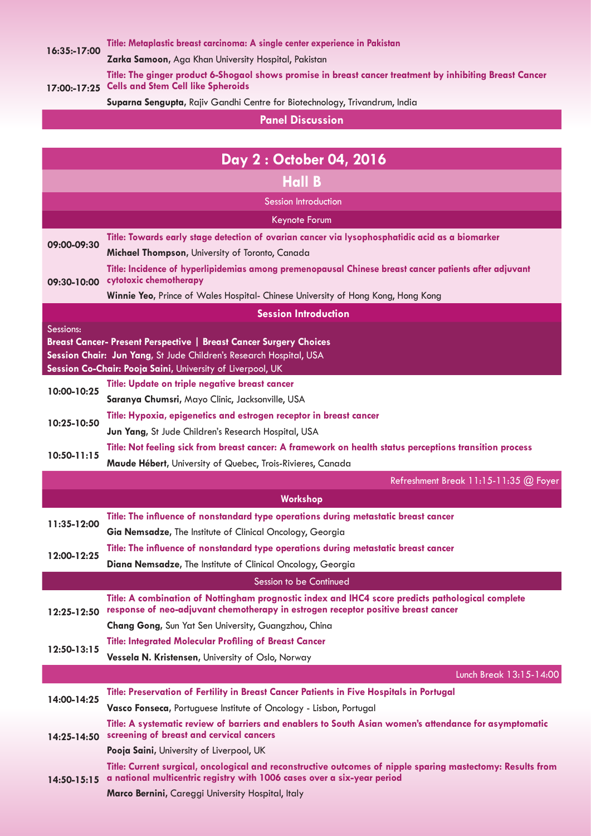**16:35:-17:00 [Title: Metaplastic breast carcinoma: A single center experience in Pakistan](http://breastcancer.conferenceseries.com/abstract/2016/metaplastic-breast-carcinoma-a-single-center-experience-in-pakistan)**

**Zarka Samoon,** [Aga Khan University Hospital, Pakistan](http://breastcancer.conferenceseries.com/speaker/2016/zarka-samoon-aga-khan-university-hospital-karachi-pakistan)

**17:00:-17:25 Cells and Stem Cell like Spheroids [Title: The ginger product 6-Shogaol shows promise in breast cancer treatment by inhibiting Breast Cancer](http://breastcancer.conferenceseries.com/abstract/2016/the-ginger-product-6-shogaol-shows-promise-in-breast-cancer-treatment-by-inhibiting-breast-cancer-cells-and-stem-cell-like-spheroids)** 

**Suparna Sengupta,** [Rajiv Gandhi Centre for Biotechnology, Trivandrum, India](http://breastcancer.conferenceseries.com/speaker/2016/suparna-sengupta-rajiv-gandhi-centre-for-biotechnology-trivandrum-india)

**Panel Discussion** 

|                                                                                                                                                                                                                            | Day 2: October 04, 2016                                                                                                                                                                            |  |  |
|----------------------------------------------------------------------------------------------------------------------------------------------------------------------------------------------------------------------------|----------------------------------------------------------------------------------------------------------------------------------------------------------------------------------------------------|--|--|
|                                                                                                                                                                                                                            | <b>Hall B</b>                                                                                                                                                                                      |  |  |
|                                                                                                                                                                                                                            | Session Introduction                                                                                                                                                                               |  |  |
|                                                                                                                                                                                                                            | Keynote Forum                                                                                                                                                                                      |  |  |
| 09:00-09:30                                                                                                                                                                                                                | Title: Towards early stage detection of ovarian cancer via lysophosphatidic acid as a biomarker                                                                                                    |  |  |
|                                                                                                                                                                                                                            | Michael Thompson, University of Toronto, Canada                                                                                                                                                    |  |  |
| 09:30-10:00                                                                                                                                                                                                                | Title: Incidence of hyperlipidemias among premenopausal Chinese breast cancer patients after adjuvant<br>cytotoxic chemotherapy                                                                    |  |  |
|                                                                                                                                                                                                                            | Winnie Yeo, Prince of Wales Hospital- Chinese University of Hong Kong, Hong Kong                                                                                                                   |  |  |
| <b>Session Introduction</b>                                                                                                                                                                                                |                                                                                                                                                                                                    |  |  |
| Sessions:<br><b>Breast Cancer- Present Perspective   Breast Cancer Surgery Choices</b><br>Session Chair: Jun Yang, St Jude Children's Research Hospital, USA<br>Session Co-Chair: Pooja Saini, University of Liverpool, UK |                                                                                                                                                                                                    |  |  |
| 10:00-10:25                                                                                                                                                                                                                | Title: Update on triple negative breast cancer                                                                                                                                                     |  |  |
|                                                                                                                                                                                                                            | Saranya Chumsri, Mayo Clinic, Jacksonville, USA                                                                                                                                                    |  |  |
| 10:25-10:50                                                                                                                                                                                                                | Title: Hypoxia, epigenetics and estrogen receptor in breast cancer                                                                                                                                 |  |  |
|                                                                                                                                                                                                                            | Jun Yang, St Jude Children's Research Hospital, USA                                                                                                                                                |  |  |
| $10:50 - 11:15$                                                                                                                                                                                                            | Title: Not feeling sick from breast cancer: A framework on health status perceptions transition process                                                                                            |  |  |
|                                                                                                                                                                                                                            | Maude Hébert, University of Quebec, Trois-Rivieres, Canada                                                                                                                                         |  |  |
|                                                                                                                                                                                                                            | Refreshment Break 11:15-11:35 @ Foyer                                                                                                                                                              |  |  |
|                                                                                                                                                                                                                            | Workshop                                                                                                                                                                                           |  |  |
| 11:35-12:00                                                                                                                                                                                                                | Title: The influence of nonstandard type operations during metastatic breast cancer                                                                                                                |  |  |
|                                                                                                                                                                                                                            | Gia Nemsadze, The Institute of Clinical Oncology, Georgia                                                                                                                                          |  |  |
|                                                                                                                                                                                                                            |                                                                                                                                                                                                    |  |  |
| 12:00-12:25                                                                                                                                                                                                                | Title: The influence of nonstandard type operations during metastatic breast cancer                                                                                                                |  |  |
|                                                                                                                                                                                                                            | Diana Nemsadze, The Institute of Clinical Oncology, Georgia                                                                                                                                        |  |  |
|                                                                                                                                                                                                                            | Session to be Continued                                                                                                                                                                            |  |  |
| 12:25-12:50                                                                                                                                                                                                                | Title: A combination of Nottingham prognostic index and IHC4 score predicts pathological complete<br>response of neo-adjuvant chemotherapy in estrogen receptor positive breast cancer             |  |  |
|                                                                                                                                                                                                                            | Chang Gong, Sun Yat Sen University, Guangzhou, China                                                                                                                                               |  |  |
|                                                                                                                                                                                                                            | <b>Title: Integrated Molecular Profiling of Breast Cancer</b>                                                                                                                                      |  |  |
| 12:50-13:15                                                                                                                                                                                                                | Vessela N. Kristensen, University of Oslo, Norway                                                                                                                                                  |  |  |
|                                                                                                                                                                                                                            | Lunch Break 13:15-14:00                                                                                                                                                                            |  |  |
| 14:00-14:25                                                                                                                                                                                                                | Title: Preservation of Fertility in Breast Cancer Patients in Five Hospitals in Portugal                                                                                                           |  |  |
|                                                                                                                                                                                                                            | Vasco Fonseca, Portuguese Institute of Oncology - Lisbon, Portugal                                                                                                                                 |  |  |
| 14:25-14:50                                                                                                                                                                                                                | Title: A systematic review of barriers and enablers to South Asian women's attendance for asymptomatic<br>screening of breast and cervical cancers                                                 |  |  |
|                                                                                                                                                                                                                            | Pooja Saini, University of Liverpool, UK                                                                                                                                                           |  |  |
|                                                                                                                                                                                                                            | Title: Current surgical, oncological and reconstructive outcomes of nipple sparing mastectomy: Results from<br>14:50-15:15 a national multicentric registry with 1006 cases over a six-year period |  |  |